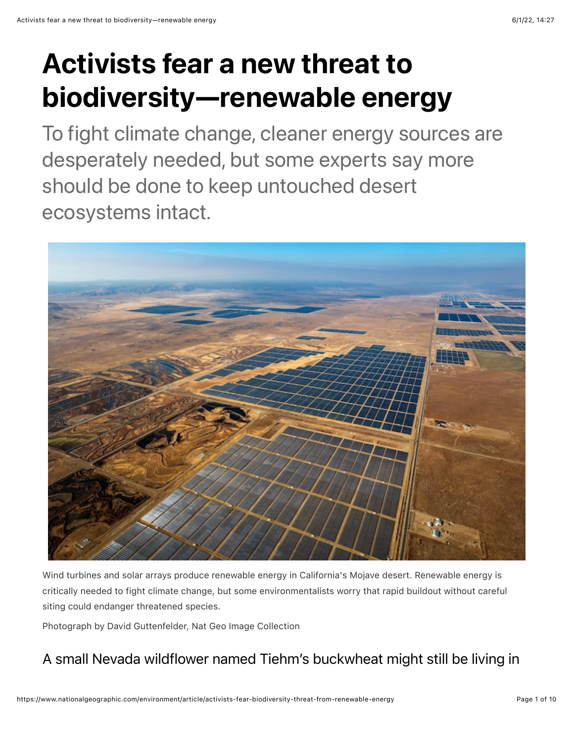# Activists fear a new threat to biodiversity—renewable energy

To fight climate change, cleaner energy sources are desperately needed, but some experts say more should be done to keep untouched desert ecosystems intact.



Wind turbines and solar arrays produce renewable energy in California's Mojave desert. Renewable energy is critically needed to fight climate change, but some environmentalists worry that rapid buildout without careful siting could endanger threatened species.

Photograph by David Guttenfelder, Nat Geo Image Collection

### A small Nevada wildflower named Tiehm's buckwheat might still be living in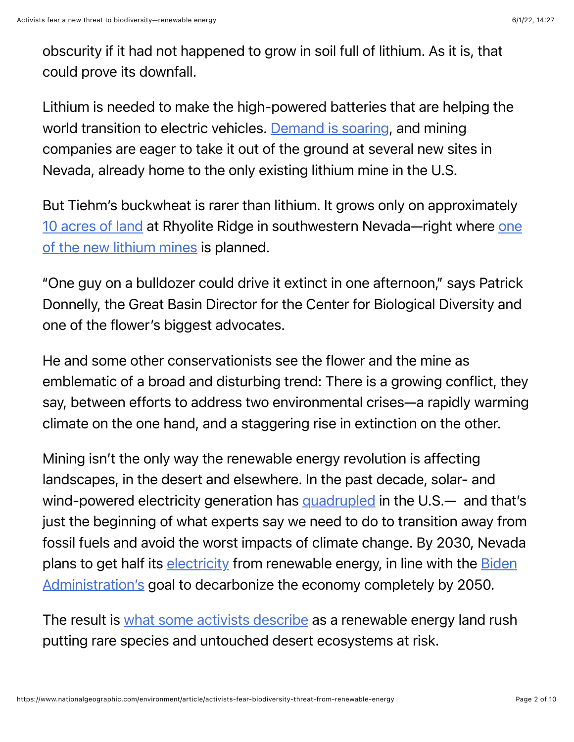obscurity if it had not happened to grow in soil full of lithium. As it is, that could prove its downfall.

Lithium is needed to make the high-powered batteries that are helping the world transition to electric vehicles. [Demand is soaring](https://www.iea.org/reports/the-role-of-critical-minerals-in-clean-energy-transitions/mineral-requirements-for-clean-energy-transitions), and mining companies are eager to take it out of the ground at several new sites in Nevada, already home to the only existing lithium mine in the U.S.

But Tiehm's buckwheat is rarer than lithium. It grows only on approximately [10 acres of land](https://www.federalregister.gov/documents/2021/10/07/2021-21651/endangered-and-threatened-wildlife-and-plants-endangered-species-status-for-tiehms-buckwheat) [at Rhyolite Ridge in southwestern Nevada—right where one](https://www.ioneer.com/) of the new lithium mines is planned.

"One guy on a bulldozer could drive it extinct in one afternoon," says Patrick Donnelly, the Great Basin Director for the Center for Biological Diversity and one of the flower's biggest advocates.

He and some other conservationists see the flower and the mine as emblematic of a broad and disturbing trend: There is a growing conflict, they say, between efforts to address two environmental crises—a rapidly warming climate on the one hand, and a staggering rise in extinction on the other.

Mining isn't the only way the renewable energy revolution is affecting landscapes, in the desert and elsewhere. In the past decade, solar- and wind-powered electricity generation has [quadrupled](https://environmentamerica.org/feature/ame/renewables-rise-2021) in the U.S.— and that's just the beginning of what experts say we need to do to transition away from fossil fuels and avoid the worst impacts of climate change. By 2030, Nevada [plans to get half its e](https://www.whitehouse.gov/briefing-room/statements-releases/2021/04/22/fact-sheet-president-biden-sets-2030-greenhouse-gas-pollution-reduction-target-aimed-at-creating-good-paying-union-jobs-and-securing-u-s-leadership-on-clean-energy-technologies/)[lectricit](https://puc.nv.gov/Renewable_Energy/Portfolio_Standard/)[y from renewable energy, in line with the Biden](https://www.whitehouse.gov/briefing-room/statements-releases/2021/04/22/fact-sheet-president-biden-sets-2030-greenhouse-gas-pollution-reduction-target-aimed-at-creating-good-paying-union-jobs-and-securing-u-s-leadership-on-clean-energy-technologies/) Administration's goal to decarbonize the economy completely by 2050.

The result is [what some activists describe](https://sierranevadaally.org/2022/03/14/a-land-rush-for-renewable-energy/) as a renewable energy land rush putting rare species and untouched desert ecosystems at risk.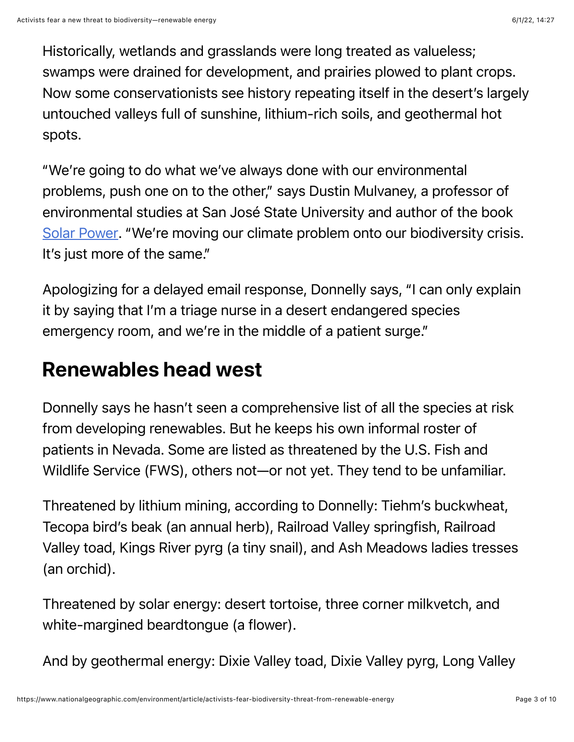Historically, wetlands and grasslands were long treated as valueless; swamps were drained for development, and prairies plowed to plant crops. Now some conservationists see history repeating itself in the desert's largely untouched valleys full of sunshine, lithium-rich soils, and geothermal hot spots.

"We're going to do what we've always done with our environmental problems, push one on to the other," says Dustin Mulvaney, a professor of environmental studies at San José State University and author of the book [Solar Power](http://dustinmulvaney.com/). "We're moving our climate problem onto our biodiversity crisis. It's just more of the same."

Apologizing for a delayed email response, Donnelly says, "I can only explain it by saying that I'm a triage nurse in a desert endangered species emergency room, and we're in the middle of a patient surge."

## Renewables head west

Donnelly says he hasn't seen a comprehensive list of all the species at risk from developing renewables. But he keeps his own informal roster of patients in Nevada. Some are listed as threatened by the U.S. Fish and Wildlife Service (FWS), others not—or not yet. They tend to be unfamiliar.

Threatened by lithium mining, according to Donnelly: Tiehm's buckwheat, Tecopa bird's beak (an annual herb), Railroad Valley springfish, Railroad Valley toad, Kings River pyrg (a tiny snail), and Ash Meadows ladies tresses (an orchid).

Threatened by solar energy: desert tortoise, three corner milkvetch, and white-margined beardtongue (a flower).

And by geothermal energy: Dixie Valley toad, Dixie Valley pyrg, Long Valley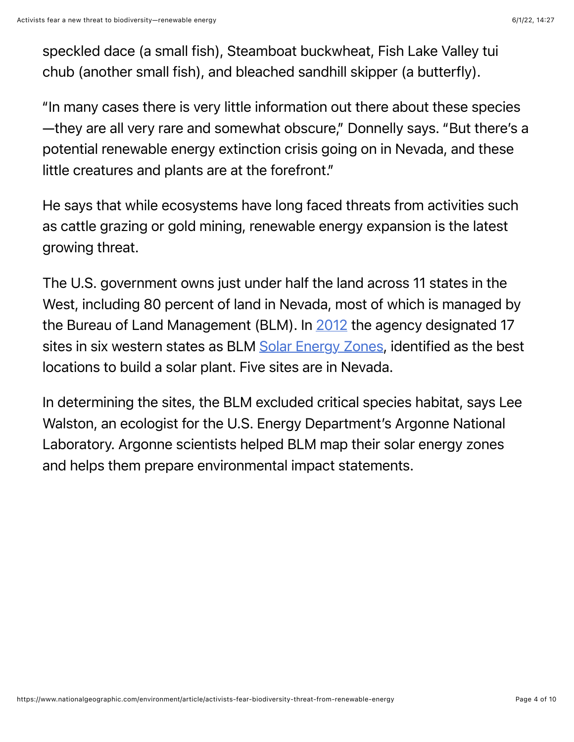speckled dace (a small fish), Steamboat buckwheat, Fish Lake Valley tui chub (another small fish), and bleached sandhill skipper (a butterfly).

"In many cases there is very little information out there about these species —they are all very rare and somewhat obscure," Donnelly says. "But there's a potential renewable energy extinction crisis going on in Nevada, and these little creatures and plants are at the forefront."

He says that while ecosystems have long faced threats from activities such as cattle grazing or gold mining, renewable energy expansion is the latest growing threat.

The U.S. government owns just under half the land across 11 states in the West, including 80 percent of land in Nevada, most of which is managed by the Bureau of Land Management (BLM). In [2012](https://www.blm.gov/sites/blm.gov/files/energy_renewablesolarfactsheet.pdf) the agency designated 17 sites in six western states as BLM [Solar Energy Zones](https://solareis.anl.gov/sez/index.cfm), identified as the best locations to build a solar plant. Five sites are in Nevada.

In determining the sites, the BLM excluded critical species habitat, says Lee Walston, an ecologist for the U.S. Energy Department's Argonne National Laboratory. Argonne scientists helped BLM map their solar energy zones and helps them prepare environmental impact statements.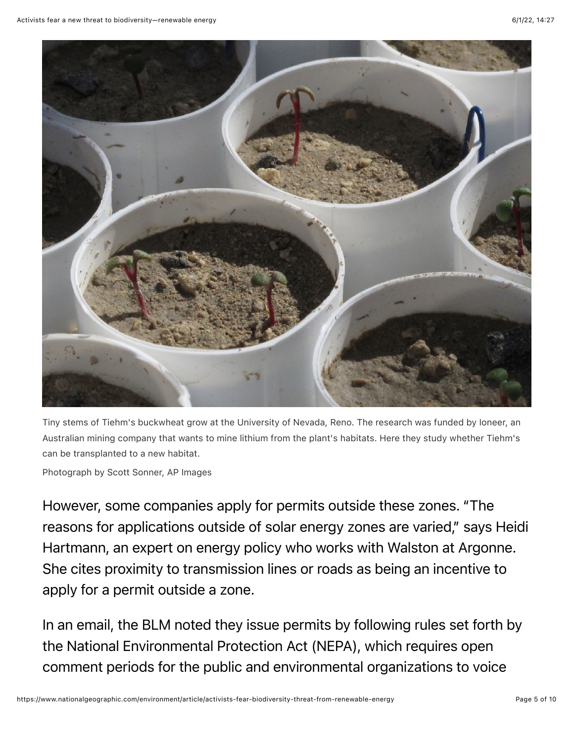

Tiny stems of Tiehm's buckwheat grow at the University of Nevada, Reno. The research was funded by Ioneer, an Australian mining company that wants to mine lithium from the plant's habitats. Here they study whether Tiehm's can be transplanted to a new habitat.

Photograph by Scott Sonner, AP Images

However, some companies apply for permits outside these zones. "The reasons for applications outside of solar energy zones are varied," says Heidi Hartmann, an expert on energy policy who works with Walston at Argonne. She cites proximity to transmission lines or roads as being an incentive to apply for a permit outside a zone.

In an email, the BLM noted they issue permits by following rules set forth by the National Environmental Protection Act (NEPA), which requires open comment periods for the public and environmental organizations to voice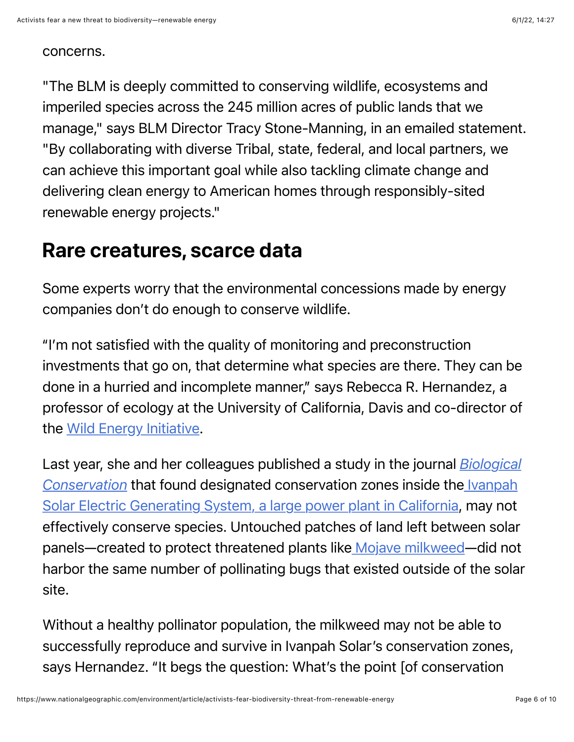#### concerns.

"The BLM is deeply committed to conserving wildlife, ecosystems and imperiled species across the 245 million acres of public lands that we manage," says BLM Director Tracy Stone-Manning, in an emailed statement. "By collaborating with diverse Tribal, state, federal, and local partners, we can achieve this important goal while also tackling climate change and delivering clean energy to American homes through responsibly-sited renewable energy projects."

### Rare creatures, scarce data

Some experts worry that the environmental concessions made by energy companies don't do enough to conserve wildlife.

"I'm not satisfied with the quality of monitoring and preconstruction investments that go on, that determine what species are there. They can be done in a hurried and incomplete manner," says Rebecca R. Hernandez, a professor of ecology at the University of California, Davis and co-director of the [Wild Energy Initiative.](https://wildenergy.org/)

[Last year, she and her colleagues published a study in the journal](https://wildenergy.org/publication/solar-energy-development-impacts-flower-visiting-beetles-and-flies-in-the-mojave-desert/) *Biological Conservation* that found designated conservation zones inside the Ivanpah [Solar Electric Generating System, a large power plant in California, may not](https://www.energy.gov/lpo/ivanpah) effectively conserve species. Untouched patches of land left between solar panels—created to protect threatened plants like [Mojave milkweed—](https://rareplants.cnps.org/Plants/Details/1817)did not harbor the same number of pollinating bugs that existed outside of the solar site.

Without a healthy pollinator population, the milkweed may not be able to successfully reproduce and survive in Ivanpah Solar's conservation zones, says Hernandez. "It begs the question: What's the point [of conservation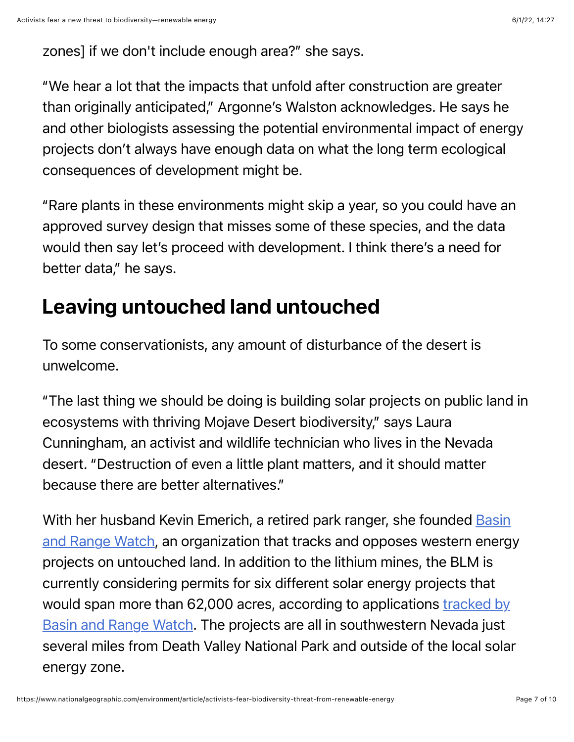zones] if we don't include enough area?" she says.

"We hear a lot that the impacts that unfold after construction are greater than originally anticipated," Argonne's Walston acknowledges. He says he and other biologists assessing the potential environmental impact of energy projects don't always have enough data on what the long term ecological consequences of development might be.

"Rare plants in these environments might skip a year, so you could have an approved survey design that misses some of these species, and the data would then say let's proceed with development. I think there's a need for better data," he says.

### Leaving untouched land untouched

To some conservationists, any amount of disturbance of the desert is unwelcome.

"The last thing we should be doing is building solar projects on public land in ecosystems with thriving Mojave Desert biodiversity," says Laura Cunningham, an activist and wildlife technician who lives in the Nevada desert. "Destruction of even a little plant matters, and it should matter because there are better alternatives."

[With her husband Kevin Emerich, a retired park ranger, she founded Basin](https://www.basinandrangewatch.org/) and Range Watch, an organization that tracks and opposes western energy projects on untouched land. In addition to the lithium mines, the BLM is currently considering permits for six different solar energy projects that [would span more than 62,000 acres, according to applications tracked by](https://www.basinandrangewatch.org/Death-Valley-Solar.html) Basin and Range Watch. The projects are all in southwestern Nevada just several miles from Death Valley National Park and outside of the local solar energy zone.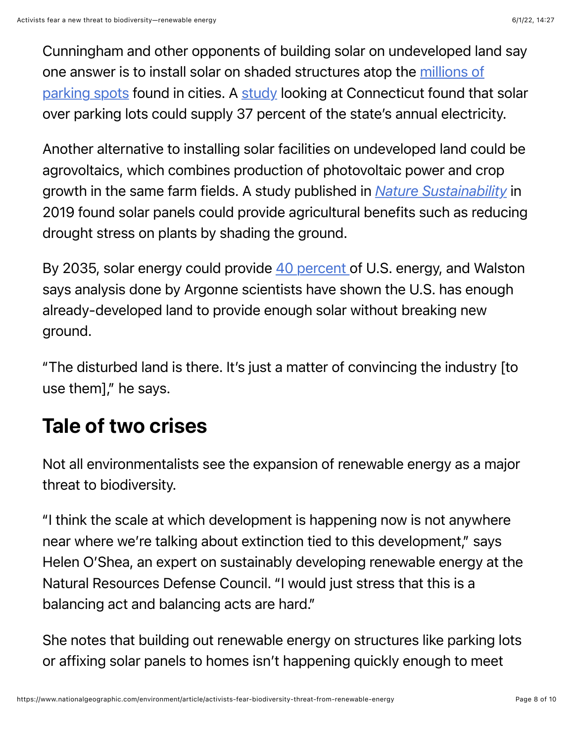Cunningham and other opponents of building solar on undeveloped land say [one answer is to install solar on shaded structures atop the millions of](https://www.bloomberg.com/news/articles/2018-07-24/the-overparked-states-of-america) parking spots found in cities. A [study](https://www.sciencedirect.com/science/article/abs/pii/S0038092X2100894X?dgcid=author) looking at Connecticut found that solar over parking lots could supply 37 percent of the state's annual electricity.

Another alternative to installing solar facilities on undeveloped land could be agrovoltaics, which combines production of photovoltaic power and crop growth in the same farm fields. A study published in *[Nature Sustainability](https://www.nature.com/articles/s41893-019-0364-5)* in 2019 found solar panels could provide agricultural benefits such as reducing drought stress on plants by shading the ground.

By 2035, solar energy could provide [40 percent](https://www.energy.gov/articles/doe-releases-solar-futures-study-providing-blueprint-zero-carbon-grid) of U.S. energy, and Walston says analysis done by Argonne scientists have shown the U.S. has enough already-developed land to provide enough solar without breaking new ground.

"The disturbed land is there. It's just a matter of convincing the industry [to use them]," he says.

## Tale of two crises

Not all environmentalists see the expansion of renewable energy as a major threat to biodiversity.

"I think the scale at which development is happening now is not anywhere near where we're talking about extinction tied to this development," says Helen O'Shea, an expert on sustainably developing renewable energy at the Natural Resources Defense Council. "I would just stress that this is a balancing act and balancing acts are hard."

She notes that building out renewable energy on structures like parking lots or affixing solar panels to homes isn't happening quickly enough to meet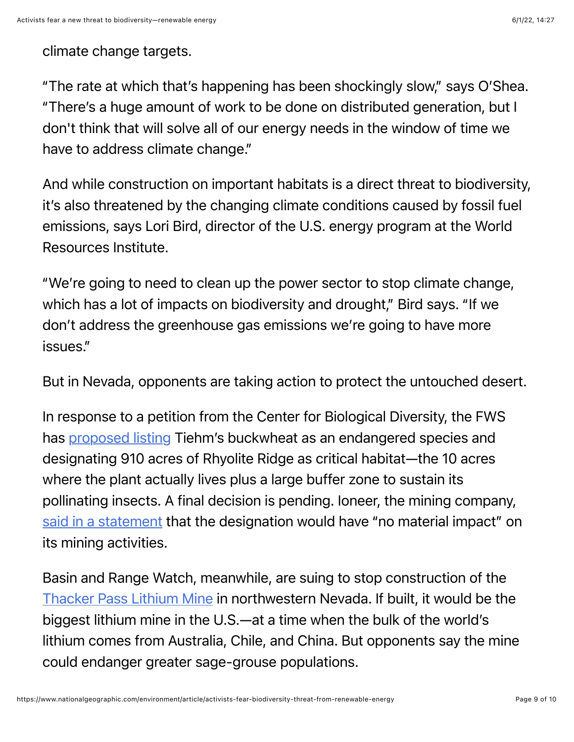#### climate change targets.

"The rate at which that's happening has been shockingly slow," says O'Shea. "There's a huge amount of work to be done on distributed generation, but I don't think that will solve all of our energy needs in the window of time we have to address climate change."

And while construction on important habitats is a direct threat to biodiversity, it's also threatened by the changing climate conditions caused by fossil fuel emissions, says Lori Bird, director of the U.S. energy program at the World Resources Institute.

"We're going to need to clean up the power sector to stop climate change, which has a lot of impacts on biodiversity and drought," Bird says. "If we don't address the greenhouse gas emissions we're going to have more issues."

But in Nevada, opponents are taking action to protect the untouched desert.

In response to a petition from the Center for Biological Diversity, the FWS has [proposed listing](https://ecos.fws.gov/ecp/species/4217) Tiehm's buckwheat as an endangered species and designating 910 acres of Rhyolite Ridge as critical habitat—the 10 acres where the plant actually lives plus a large buffer zone to sustain its pollinating insects. A final decision is pending. Ioneer, the mining company, [said in a statement](https://www.ioneer.com/files/announcement/files/220203_ioneer_comments_on_us_fish_and_wildlife_service_proposed_critical_habitat_-_final.pdf) that the designation would have "no material impact" on its mining activities.

Basin and Range Watch, meanwhile, are suing to stop construction of the [Thacker Pass Lithium Mine](http://www.basinandrangewatch.org/Thacker-Pass.html) in northwestern Nevada. If built, it would be the biggest lithium mine in the U.S.—at a time when the bulk of the world's lithium comes from Australia, Chile, and China. But opponents say the mine could endanger greater sage-grouse populations.